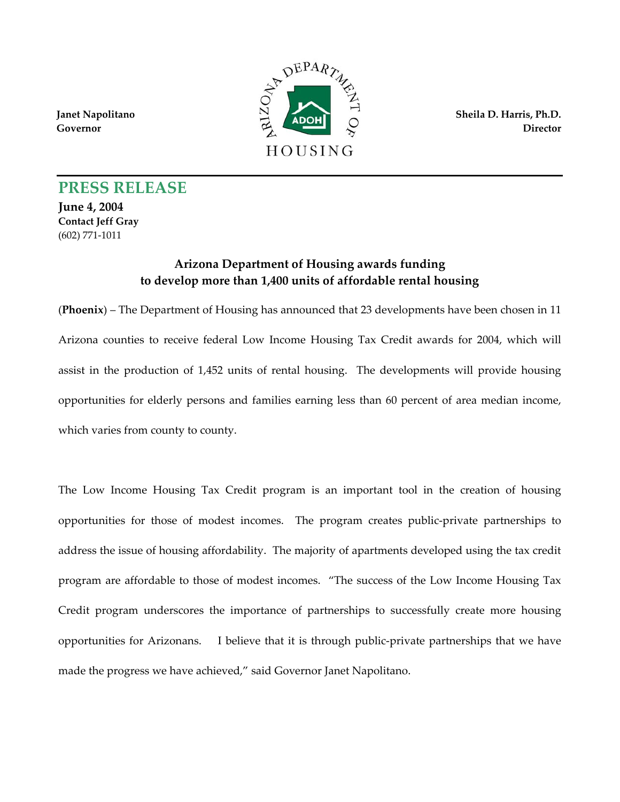**Janet Napolitano Governor** 



**Sheila D. Harris, Ph.D. Director**

## **PRESS RELEASE**

**June 4, 2004 Contact Jeff Gray**  (602) 771-1011

## **Arizona Department of Housing awards funding to develop more than 1,400 units of affordable rental housing**

(**Phoenix**) – The Department of Housing has announced that 23 developments have been chosen in 11 Arizona counties to receive federal Low Income Housing Tax Credit awards for 2004, which will assist in the production of 1,452 units of rental housing. The developments will provide housing opportunities for elderly persons and families earning less than 60 percent of area median income, which varies from county to county.

The Low Income Housing Tax Credit program is an important tool in the creation of housing opportunities for those of modest incomes. The program creates public-private partnerships to address the issue of housing affordability. The majority of apartments developed using the tax credit program are affordable to those of modest incomes. "The success of the Low Income Housing Tax Credit program underscores the importance of partnerships to successfully create more housing opportunities for Arizonans. I believe that it is through public-private partnerships that we have made the progress we have achieved," said Governor Janet Napolitano.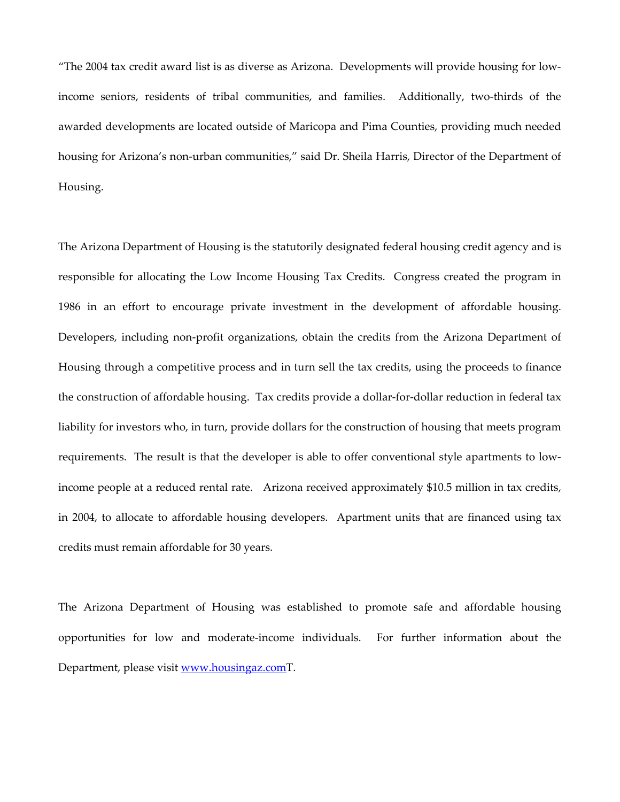"The 2004 tax credit award list is as diverse as Arizona. Developments will provide housing for lowincome seniors, residents of tribal communities, and families. Additionally, two-thirds of the awarded developments are located outside of Maricopa and Pima Counties, providing much needed housing for Arizona's non-urban communities," said Dr. Sheila Harris, Director of the Department of Housing.

The Arizona Department of Housing is the statutorily designated federal housing credit agency and is responsible for allocating the Low Income Housing Tax Credits. Congress created the program in 1986 in an effort to encourage private investment in the development of affordable housing. Developers, including non-profit organizations, obtain the credits from the Arizona Department of Housing through a competitive process and in turn sell the tax credits, using the proceeds to finance the construction of affordable housing. Tax credits provide a dollar-for-dollar reduction in federal tax liability for investors who, in turn, provide dollars for the construction of housing that meets program requirements. The result is that the developer is able to offer conventional style apartments to lowincome people at a reduced rental rate. Arizona received approximately \$10.5 million in tax credits, in 2004, to allocate to affordable housing developers. Apartment units that are financed using tax credits must remain affordable for 30 years.

The Arizona Department of Housing was established to promote safe and affordable housing opportunities for low and moderate-income individuals. For further information about the Department, please visit [www.housingaz.comT.](http://www.housingaz.com/)